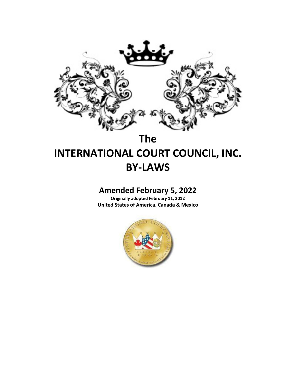

# **The**

# **INTERNATIONAL COURT COUNCIL, INC. BY-LAWS**

# **Amended February 5, 2022**

**Originally adopted February 11, 2012 United States of America, Canada & Mexico**

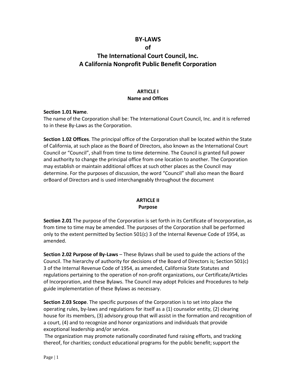# **BY-LAWS**

#### **of**

# **The International Court Council, Inc. A California Nonprofit Public Benefit Corporation**

### **ARTICLE I Name and Offices**

#### **Section 1.01 Name**.

The name of the Corporation shall be: The International Court Council, Inc. and it is referred to in these By-Laws as the Corporation.

**Section 1.02 Offices**. The principal office of the Corporation shall be located within the State of California, at such place as the Board of Directors, also known as the International Court Council or "Council", shall from time to time determine. The Council is granted full power and authority to change the principal office from one location to another. The Corporation may establish or maintain additional offices at such other places as the Council may determine. For the purposes of discussion, the word "Council" shall also mean the Board orBoard of Directors and is used interchangeably throughout the document

# **ARTICLE II Purpose**

**Section 2.01** The purpose of the Corporation is set forth in its Certificate of Incorporation, as from time to time may be amended. The purposes of the Corporation shall be performed only to the extent permitted by Section 501(c) 3 of the Internal Revenue Code of 1954, as amended.

**Section 2.02 Purpose of By-Laws** – These Bylaws shall be used to guide the actions of the Council. The hierarchy of authority for decisions of the Board of Directors is; Section 501(c) 3 of the Internal Revenue Code of 1954, as amended, California State Statutes and regulations pertaining to the operation of non-profit organizations, our Certificate/Articles of Incorporation, and these Bylaws. The Council may adopt Policies and Procedures to help guide implementation of these Bylaws as necessary.

**Section 2.03 Scope**. The specific purposes of the Corporation is to set into place the operating rules, by-laws and regulations for itself as a (1) counselor entity, (2) clearing house for its members, (3) advisory group that will assist in the formation and recognition of a court, (4) and to recognize and honor organizations and individuals that provide exceptional leadership and/or service.

The organization may promote nationally coordinated fund raising efforts, and tracking thereof, for charities; conduct educational programs for the public benefit; support the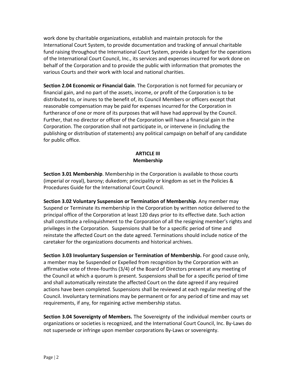work done by charitable organizations, establish and maintain protocols for the International Court System, to provide documentation and tracking of annual charitable fund raising throughout the International Court System, provide a budget for the operations of the International Court Council, Inc., its services and expenses incurred for work done on behalf of the Corporation and to provide the public with information that promotes the various Courts and their work with local and national charities.

**Section 2.04 Economic or Financial Gain**. The Corporation is not formed for pecuniary or financial gain, and no part of the assets, income, or profit of the Corporation is to be distributed to, or inures to the benefit of, its Council Members or officers except that reasonable compensation may be paid for expenses incurred for the Corporation in furtherance of one or more of its purposes that will have had approval by the Council. Further, that no director or officer of the Corporation will have a financial gain in the Corporation. The corporation shall not participate in, or intervene in (including the publishing or distribution of statements) any political campaign on behalf of any candidate for public office.

# **ARTICLE III Membership**

**Section 3.01 Membership**. Membership in the Corporation is available to those courts (imperial or royal), barony; dukedom; principality or kingdom as set in the Policies & Procedures Guide for the International Court Council.

**Section 3.02 Voluntary Suspension or Termination of Membership**. Any member may Suspend or Terminate its membership in the Corporation by written notice delivered to the principal office of the Corporation at least 120 days prior to its effective date. Such action shall constitute a relinquishment to the Corporation of all the resigning member's rights and privileges in the Corporation. Suspensions shall be for a specific period of time and reinstate the affected Court on the date agreed. Terminations should include notice of the caretaker for the organizations documents and historical archives.

**Section 3.03 Involuntary Suspension or Termination of Membership.** For good cause only, a member may be Suspended or Expelled from recognition by the Corporation with an affirmative vote of three-fourths (3/4) of the Board of Directors present at any meeting of the Council at which a quorum is present. Suspensions shall be for a specific period of time and shall automatically reinstate the affected Court on the date agreed if any required actions have been completed. Suspensions shall be reviewed at each regular meeting of the Council. Involuntary terminations may be permanent or for any period of time and may set requirements, if any, for regaining active membership status.

**Section 3.04 Sovereignty of Members.** The Sovereignty of the individual member courts or organizations or societies is recognized, and the International Court Council, Inc. By-Laws do not supersede or infringe upon member corporations By-Laws or sovereignty.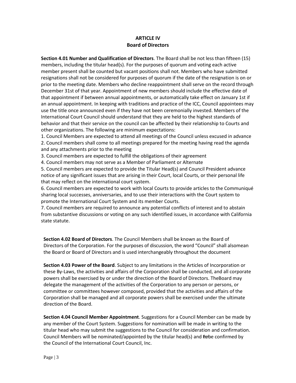#### **ARTICLE IV Board of Directors**

**Section 4.01 Number and Qualification of Directors**. The Board shall be not less than fifteen (15) members, including the titular head(s). For the purposes of quorum and voting each active member present shall be counted but vacant positions shall not. Members who have submitted resignations shall not be considered for purposes of quorum if the date of the resignation is on or prior to the meeting date. Members who decline reappointment shall serve on the record through December 31st of that year. Appointment of new members should include the effective date of that appointment if between annual appointments, or automatically take effect on January 1st if an annual appointment. In keeping with traditions and practice of the ICC, Council appointees may use the title once announced even if they have not been ceremonially invested. Members of the International Court Council should understand that they are held to the highest standards of behavior and that their service on the council can be affected by their relationship to Courts and other organizations. The following are minimum expectations:

1. Council Members are expected to attend all meetings of the Council unless excused in advance 2. Council members shall come to all meetings prepared for the meeting having read the agenda and any attachments prior to the meeting

3. Council members are expected to fulfill the obligations of their agreement

4. Council members may not serve as a Member of Parliament or Alternate

5. Council members are expected to provide the Titular Head(s) and Council President advance notice of any significant issues that are arising in their Court, local Courts, or their personal life that may reflect on the international court system.

6. Council members are expected to work with local Courts to provide articles to the Communiqué sharing local successes, anniversaries, and to use their interactions with the Court system to promote the International Court System and its member Courts.

7. Council members are required to announce any potential conflicts of interest and to abstain from substantive discussions or voting on any such identified issues, in accordance with California state statute.

**Section 4.02 Board of Directors**. The Council Members shall be known as the Board of Directors of the Corporation. For the purposes of discussion, the word "Council" shall alsomean the Board or Board of Directors and is used interchangeably throughout the document

**Section 4.03 Power of the Board**. Subject to any limitations in the Articles of Incorporation or these By-Laws, the activities and affairs of the Corporation shall be conducted, and all corporate powers shall be exercised by or under the direction of the Board of Directors. TheBoard may delegate the management of the activities of the Corporation to any person or persons, or committee or committees however composed, provided that the activities and affairs of the Corporation shall be managed and all corporate powers shall be exercised under the ultimate direction of the Board.

**Section 4.04 Council Member Appointment**. Suggestions for a Council Member can be made by any member of the Court System. Suggestions for nomination will be made in writing to the titular head who may submit the suggestions to the Council for consideration and confirmation. Council Members will be nominated/appointed by the titular head(s) and the confirmed by the Council of the International Court Council, Inc.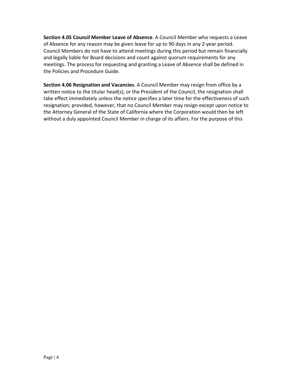**Section 4.05 Council Member Leave of Absence**. A Council Member who requests a Leave of Absence for any reason may be given leave for up to 90 days in any 2-year period. Council Members do not have to attend meetings during this period but remain financially and legally liable for Board decisions and count against quorum requirements for any meetings. The process for requesting and granting a Leave of Absence shall be defined in the Policies and Procedure Guide.

**Section 4.06 Resignation and Vacancies**. A Council Member may resign from office by a written notice to the titular head(s), or the President of the Council, the resignation shall take effect immediately unless the notice specifies a later time for the effectiveness of such resignation; provided, however, that no Council Member may resign except upon notice to the Attorney General of the State of California where the Corporation would then be left without a duly appointed Council Member in charge of its affairs. For the purpose of this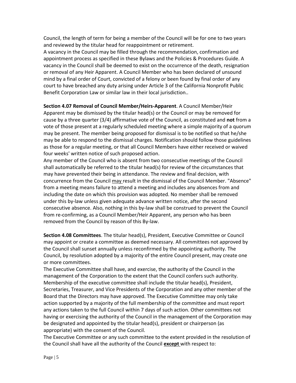Council, the length of term for being a member of the Council will be for one to two years and reviewed by the titular head for reappointment or retirement.

A vacancy in the Council may be filled through the recommendation, confirmation and appointment process as specified in these Bylaws and the Policies & Procedures Guide. A vacancy in the Council shall be deemed to exist on the occurrence of the death, resignation or removal of any Heir Apparent. A Council Member who has been declared of unsound mind by a final order of Court, convicted of a felony or been found by final order of any court to have breached any duty arising under Article 3 of the California Nonprofit Public Benefit Corporation Law or similar law in their local jurisdiction..

**Section 4.07 Removal of Council Member/Heirs-Apparent**. A Council Member/Heir Apparent may be dismissed by the titular head(s) or the Council or may be removed for cause by a three quarter (3/4) affirmative vote of the Council, as constituted and **not** from a vote of those present at a regularly scheduled meeting where a simple majority of a quorum may be present. The member being proposed for dismissal is to be notified so that he/she may be able to respond to the dismissal charges. Notification should follow those guidelines as those for a regular meeting, or that all Council Members have either received or waived four weeks' written notice of such proposed action.

Any member of the Council who is absent from two consecutive meetings of the Council shall automatically be referred to the titular head(s) for review of the circumstances that may have prevented their being in attendance. The review and final decision, with concurrence from the Council may result in the dismissal of the Council Member. "Absence" from a meeting means failure to attend a meeting and includes any absences from and including the date on which this provision was adopted. No member shall be removed under this by-law unless given adequate advance written notice, after the second consecutive absence. Also, nothing in this by-law shall be construed to prevent the Council from re-confirming, as a Council Member/Heir Apparent, any person who has been removed from the Council by reason of this By-law.

**Section 4.08 Committees**. The titular head(s), President, Executive Committee or Council may appoint or create a committee as deemed necessary. All committees not approved by the Council shall sunset annually unless reconfirmed by the appointing authority. The Council, by resolution adopted by a majority of the entire Council present, may create one or more committees.

The Executive Committee shall have, and exercise, the authority of the Council in the management of the Corporation to the extent that the Council confers such authority. Membership of the executive committee shall include the titular head(s), President, Secretaries, Treasurer, and Vice Presidents of the Corporation and any other member of the Board that the Directors may have approved. The Executive Committee may only take action supported by a majority of the full membership of the committee and must report any actions taken to the full Council within 7 days of such action. Other committees not having or exercising the authority of the Council in the management of the Corporation may be designated and appointed by the titular head(s), president or chairperson (as appropriate) with the consent of the Council.

The Executive Committee or any such committee to the extent provided in the resolution of the Council shall have all the authority of the Council **except** with respect to: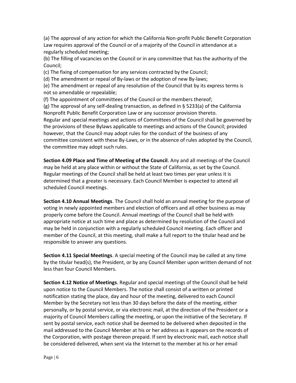(a) The approval of any action for which the California Non-profit Public Benefit Corporation Law requires approval of the Council or of a majority of the Council in attendance at a regularly scheduled meeting;

(b) The filling of vacancies on the Council or in any committee that has the authority of the Council;

(c) The fixing of compensation for any services contracted by the Council;

(d) The amendment or repeal of By-laws or the adoption of new By-laws;

(e) The amendment or repeal of any resolution of the Council that by its express terms is not so amendable or repealable;

(f) The appointment of committees of the Council or the members thereof;

(g) The approval of any self-dealing transaction, as defined in § 5233(a) of the California Nonprofit Public Benefit Corporation Law or any successor provision thereto. Regular and special meetings and actions of Committees of the Council shall be governed by the provisions of these Bylaws applicable to meetings and actions of the Council; provided however, that the Council may adopt rules for the conduct of the business of any committee consistent with these By-Laws, or in the absence of rules adopted by the Council, the committee may adopt such rules.

**Section 4.09 Place and Time of Meeting of the Council**. Any and all meetings of the Council may be held at any place within or without the State of California, as set by the Council. Regular meetings of the Council shall be held at least two times per year unless it is determined that a greater is necessary. Each Council Member is expected to attend all scheduled Council meetings.

**Section 4.10 Annual Meetings**. The Council shall hold an annual meeting for the purpose of voting in newly appointed members and election of officers and all other business as may properly come before the Council. Annual meetings of the Council shall be held with appropriate notice at such time and place as determined by resolution of the Council and may be held in conjunction with a regularly scheduled Council meeting. Each officer and member of the Council, at this meeting, shall make a full report to the titular head and be responsible to answer any questions.

**Section 4.11 Special Meetings**. A special meeting of the Council may be called at any time by the titular head(s), the President, or by any Council Member upon written demand of not less than four Council Members.

**Section 4.12 Notice of Meetings**. Regular and special meetings of the Council shall be held upon notice to the Council Members. The notice shall consist of a written or printed notification stating the place, day and hour of the meeting, delivered to each Council Member by the Secretary not less than 30 days before the date of the meeting, either personally, or by postal service, or via electronic mail, at the direction of the President or a majority of Council Members calling the meeting, or upon the initiative of the Secretary. If sent by postal service, each notice shall be deemed to be delivered when deposited in the mail addressed to the Council Member at his or her address as it appears on the records of the Corporation, with postage thereon prepaid. If sent by electronic mail, each notice shall be considered delivered, when sent via the Internet to the member at his or her email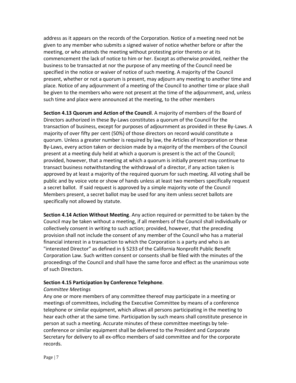address as it appears on the records of the Corporation. Notice of a meeting need not be given to any member who submits a signed waiver of notice whether before or after the meeting, or who attends the meeting without protesting prior thereto or at its commencement the lack of notice to him or her. Except as otherwise provided, neither the business to be transacted at nor the purpose of any meeting of the Council need be specified in the notice or waiver of notice of such meeting. A majority of the Council present, whether or not a quorum is present, may adjourn any meeting to another time and place. Notice of any adjournment of a meeting of the Council to another time or place shall be given to the members who were not present at the time of the adjournment, and, unless such time and place were announced at the meeting, to the other members

**Section 4.13 Quorum and Action of the Council**. A majority of members of the Board of Directors authorized in these By-Laws constitutes a quorum of the Council for the transaction of business, except for purposes of adjournment as provided in these By-Laws. A majority of over fifty per cent (50%) of those directors on record would constitute a quorum. Unless a greater number is required by law, the Articles of Incorporation or these By-Laws, every action taken or decision made by a majority of the members of the Council present at a meeting duly held at which a quorum is present is the act of the Council; provided, however, that a meeting at which a quorum is initially present may continue to transact business notwithstanding the withdrawal of a director, if any action taken is approved by at least a majority of the required quorum for such meeting. All voting shall be public and by voice vote or show of hands unless at least two members specifically request a secret ballot. If said request is approved by a simple majority vote of the Council Members present, a secret ballot may be used for any item unless secret ballots are specifically not allowed by statute.

**Section 4.14 Action Without Meeting**. Any action required or permitted to be taken by the Council may be taken without a meeting, if all members of the Council shall individually or collectively consent in writing to such action; provided, however, that the preceding provision shall not include the consent of any member of the Council who has a material financial interest in a transaction to which the Corporation is a party and who is an "interested Director" as defined in § 5233 of the California Nonprofit Public Benefit Corporation Law. Such written consent or consents shall be filed with the minutes of the proceedings of the Council and shall have the same force and effect as the unanimous vote of such Directors.

#### **Section 4.15 Participation by Conference Telephone**.

#### *Committee Meetings*

Any one or more members of any committee thereof may participate in a meeting or meetings of committees, including the Executive Committee by means of a conference telephone or similar equipment, which allows all persons participating in the meeting to hear each other at the same time. Participation by such means shall constitute presence in person at such a meeting. Accurate minutes of these committee meetings by teleconference or similar equipment shall be delivered to the President and Corporate Secretary for delivery to all ex-offico members of said committee and for the corporate records.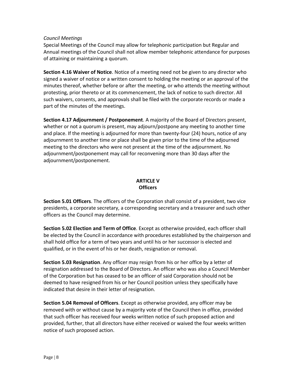#### *Council Meetings*

Special Meetings of the Council may allow for telephonic participation but Regular and Annual meetings of the Council shall not allow member telephonic attendance for purposes of attaining or maintaining a quorum.

**Section 4.16 Waiver of Notice**. Notice of a meeting need not be given to any director who signed a waiver of notice or a written consent to holding the meeting or an approval of the minutes thereof, whether before or after the meeting, or who attends the meeting without protesting, prior thereto or at its commencement, the lack of notice to such director. All such waivers, consents, and approvals shall be filed with the corporate records or made a part of the minutes of the meetings.

**Section 4.17 Adjournment / Postponement**. A majority of the Board of Directors present, whether or not a quorum is present, may adjourn/postpone any meeting to another time and place. If the meeting is adjourned for more than twenty-four (24) hours, notice of any adjournment to another time or place shall be given prior to the time of the adjourned meeting to the directors who were not present at the time of the adjournment. No adjournment/postponement may call for reconvening more than 30 days after the adjournment/postponement.

### **ARTICLE V Officers**

**Section 5.01 Officers**. The officers of the Corporation shall consist of a president, two vice presidents, a corporate secretary, a corresponding secretary and a treasurer and such other officers as the Council may determine.

**Section 5.02 Election and Term of Office**. Except as otherwise provided, each officer shall be elected by the Council in accordance with procedures established by the chairperson and shall hold office for a term of two years and until his or her successor is elected and qualified, or in the event of his or her death, resignation or removal.

**Section 5.03 Resignation**. Any officer may resign from his or her office by a letter of resignation addressed to the Board of Directors. An officer who was also a Council Member of the Corporation but has ceased to be an officer of said Corporation should not be deemed to have resigned from his or her Council position unless they specifically have indicated that desire in their letter of resignation.

**Section 5.04 Removal of Officers**. Except as otherwise provided, any officer may be removed with or without cause by a majority vote of the Council then in office, provided that such officer has received four weeks written notice of such proposed action and provided, further, that all directors have either received or waived the four weeks written notice of such proposed action.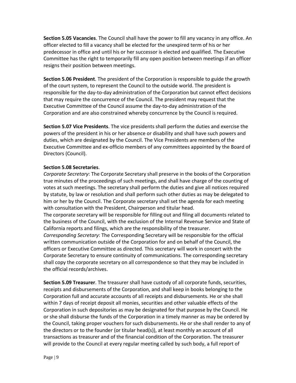**Section 5.05 Vacancies**. The Council shall have the power to fill any vacancy in any office. An officer elected to fill a vacancy shall be elected for the unexpired term of his or her predecessor in office and until his or her successor is elected and qualified. The Executive Committee has the right to temporarily fill any open position between meetings if an officer resigns their position between meetings.

**Section 5.06 President**. The president of the Corporation is responsible to guide the growth of the court system, to represent the Council to the outside world. The president is responsible for the day-to-day administration of the Corporation but cannot effect decisions that may require the concurrence of the Council. The president may request that the Executive Committee of the Council assume the day-to-day administration of the Corporation and are also constrained whereby concurrence by the Council is required.

**Section 5.07 Vice Presidents**. The vice presidents shall perform the duties and exercise the powers of the president in his or her absence or disability and shall have such powers and duties, which are designated by the Council. The Vice Presidents are members of the Executive Committee and ex-officio members of any committees appointed by the Board of Directors (Council).

#### **Section 5.08 Secretaries**.

*Corporate Secretary*: The Corporate Secretary shall preserve in the books of the Corporation true minutes of the proceedings of such meetings, and shall have charge of the counting of votes at such meetings. The secretary shall perform the duties and give all notices required by statute, by law or resolution and shall perform such other duties as may be delegated to him or her by the Council. The Corporate secretary shall set the agenda for each meeting with consultation with the President, Chairperson and titular head.

The corporate secretary will be responsible for filling out and filing all documents related to the business of the Council, with the exclusion of the Internal Revenue Service and State of California reports and filings, which are the responsibility of the treasurer.

*Corresponding Secretary*: The Corresponding Secretary will be responsible for the official written communication outside of the Corporation for and on behalf of the Council, the officers or Executive Committee as directed. This secretary will work in concert with the Corporate Secretary to ensure continuity of communications. The corresponding secretary shall copy the corporate secretary on all correspondence so that they may be included in the official records/archives.

**Section 5.09 Treasurer**. The treasurer shall have custody of all corporate funds, securities, receipts and disbursements of the Corporation, and shall keep in books belonging to the Corporation full and accurate accounts of all receipts and disbursements. He or she shall within 7 days of receipt deposit all monies, securities and other valuable effects of the Corporation in such depositories as may be designated for that purpose by the Council. He or she shall disburse the funds of the Corporation in a timely manner as may be ordered by the Council, taking proper vouchers for such disbursements. He or she shall render to any of the directors or to the founder (or titular head(s)), at least monthly an account of all transactions as treasurer and of the financial condition of the Corporation. The treasurer will provide to the Council at every regular meeting called by such body, a full report of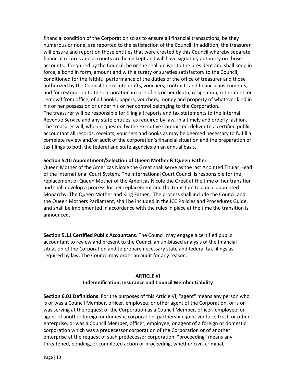financial condition of the Corporation so as to ensure all financial transactions, be they numerous or none, are reported to the satisfaction of the Council. In addition, the treasurer will ensure and report on those entities that were created by this Council whereby separate financial records and accounts are being kept and will have signatory authority on those accounts. If required by the Council, he or she shall deliver to the president and shall keep in force, a bond in form, amount and with a surety or sureties satisfactory to the Council, conditioned for the faithful performance of the duties of the office of treasurer and those authorized by the Council to execute drafts, vouchers, contracts and financial instruments, and for restoration to the Corporation in case of his or her death, resignation, retirement, or removal from office, of all books, papers, vouchers, money and property of whatever kind in his or her possession or under his or her control belonging to the Corporation. The treasurer will be responsible for filing all reports and tax statements to the Internal Revenue Service and any state entities, as required by law, in a timely and orderly fashion. The treasurer will, when requested by the Executive Committee, deliver to a certified public accountant all records, receipts, vouchers and books as may be deemed necessary to fulfill a complete review and/or audit of the corporation's financial situation and the preparation of tax filings to both the federal and state agencies on an annual basis.

#### **Section 5.10 Appointment/Selection of Queen Mother & Queen Father**.

Queen Mother of the Americas Nicole the Great shall serve as the last Anointed Titular Head of the International Court System. The International Court Council is responsible for the replacement of Queen Mother of the Americas Nicole the Great at the time of her transition and shall develop a process for her replacement and the transition to a dual appointed Monarchy, The Queen Mother and King Father. The process shall include the Council and the Queen Mothers Parliament, shall be included in the ICC Policies and Procedures Guide, and shall be implemented in accordance with the rules in place at the time the transition is announced.

**Section 5.11 Certified Public Accountant**. The Council may engage a certified public accountant to review and present to the Council an un-biased analysis of the financial situation of the Corporation and to prepare necessary state and federal tax filings as required by law. The Council may order an audit for any reason.

#### **ARTICLE VI Indemnification, Insurance and Council Member Liability**

**Section 6.01 Definitions**. For the purposes of this Article VI, "agent" means any person who is or was a Council Member, officer, employee, or other agent of the Corporation, or is or was serving at the request of the Corporation as a Council Member, officer, employee, or agent of another foreign or domestic corporation, partnership, joint venture, trust, or other enterprise, or was a Council Member, officer, employee, or agent of a foreign or domestic corporation which was a predecessor corporation of the Corporation or of another enterprise at the request of such predecessor corporation; "proceeding" means any threatened, pending, or completed action or proceeding, whether civil, criminal,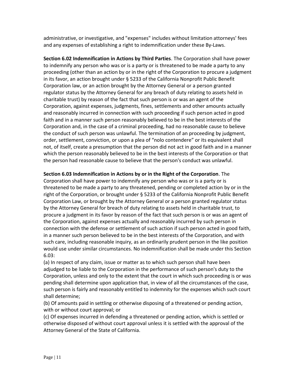administrative, or investigative, and "expenses" includes without limitation attorneys' fees and any expenses of establishing a right to indemnification under these By-Laws.

**Section 6.02 Indemnification in Actions by Third Parties**. The Corporation shall have power to indemnify any person who was or is a party or is threatened to be made a party to any proceeding (other than an action by or in the right of the Corporation to procure a judgment in its favor, an action brought under § 5233 of the California Nonprofit Public Benefit Corporation law, or an action brought by the Attorney General or a person granted regulator status by the Attorney General for any breach of duty relating to assets held in charitable trust) by reason of the fact that such person is or was an agent of the Corporation, against expenses, judgments, fines, settlements and other amounts actually and reasonably incurred in connection with such proceeding if such person acted in good faith and in a manner such person reasonably believed to be in the best interests of the Corporation and, in the case of a criminal proceeding, had no reasonable cause to believe the conduct of such person was unlawful. The termination of an proceeding by judgment, order, settlement, conviction, or upon a plea of "nolo contendere" or its equivalent shall not, of itself, create a presumption that the person did not act in good faith and in a manner which the person reasonably believed to be in the best interests of the Corporation or that the person had reasonable cause to believe that the person's conduct was unlawful.

#### **Section 6.03 Indemnification in Actions by or in the Right of the Corporation**. The

Corporation shall have power to indemnify any person who was or is a party or is threatened to be made a party to any threatened, pending or completed action by or in the right of the Corporation, or brought under § 5233 of the California Nonprofit Public Benefit Corporation Law, or brought by the Attorney General or a person granted regulator status by the Attorney General for breach of duty relating to assets held in charitable trust, to procure a judgment in its favor by reason of the fact that such person is or was an agent of the Corporation, against expenses actually and reasonably incurred by such person in connection with the defense or settlement of such action if such person acted in good faith, in a manner such person believed to be in the best interests of the Corporation, and with such care, including reasonable inquiry, as an ordinarily prudent person in the like position would use under similar circumstances. No indemnification shall be made under this Section 6.03:

(a) In respect of any claim, issue or matter as to which such person shall have been adjudged to be liable to the Corporation in the performance of such person's duty to the Corporation, unless and only to the extent that the court in which such proceeding is or was pending shall determine upon application that, in view of all the circumstances of the case, such person is fairly and reasonably entitled to indemnity for the expenses which such court shall determine;

(b) Of amounts paid in settling or otherwise disposing of a threatened or pending action, with or without court approval; or

(c) Of expenses incurred in defending a threatened or pending action, which is settled or otherwise disposed of without court approval unless it is settled with the approval of the Attorney General of the State of California.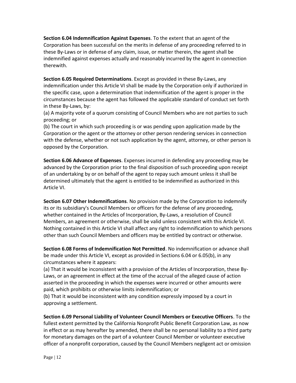**Section 6.04 Indemnification Against Expenses**. To the extent that an agent of the Corporation has been successful on the merits in defense of any proceeding referred to in these By-Laws or in defense of any claim, issue, or matter therein, the agent shall be indemnified against expenses actually and reasonably incurred by the agent in connection therewith.

**Section 6.05 Required Determinations**. Except as provided in these By-Laws, any indemnification under this Article VI shall be made by the Corporation only if authorized in the specific case, upon a determination that indemnification of the agent is proper in the circumstances because the agent has followed the applicable standard of conduct set forth in these By-Laws, by:

(a) A majority vote of a quorum consisting of Council Members who are not parties to such proceeding; or

(b) The court in which such proceeding is or was pending upon application made by the Corporation or the agent or the attorney or other person rendering services in connection with the defense, whether or not such application by the agent, attorney, or other person is opposed by the Corporation.

**Section 6.06 Advance of Expenses**. Expenses incurred in defending any proceeding may be advanced by the Corporation prior to the final disposition of such proceeding upon receipt of an undertaking by or on behalf of the agent to repay such amount unless it shall be determined ultimately that the agent is entitled to be indemnified as authorized in this Article VI.

**Section 6.07 Other Indemnifications**. No provision made by the Corporation to indemnify its or its subsidiary's Council Members or officers for the defense of any proceeding, whether contained in the Articles of Incorporation, By-Laws, a resolution of Council Members, an agreement or otherwise, shall be valid unless consistent with this Article VI. Nothing contained in this Article VI shall affect any right to indemnification to which persons other than such Council Members and officers may be entitled by contract or otherwise.

**Section 6.08 Forms of Indemnification Not Permitted**. No indemnification or advance shall be made under this Article VI, except as provided in Sections 6.04 or 6.05(b), in any circumstances where it appears:

(a) That it would be inconsistent with a provision of the Articles of Incorporation, these By-Laws, or an agreement in effect at the time of the accrual of the alleged cause of action asserted in the proceeding in which the expenses were incurred or other amounts were paid, which prohibits or otherwise limits indemnification; or

(b) That it would be inconsistent with any condition expressly imposed by a court in approving a settlement.

**Section 6.09 Personal Liability of Volunteer Council Members or Executive Officers**. To the fullest extent permitted by the California Nonprofit Public Benefit Corporation Law, as now in effect or as may hereafter by amended, there shall be no personal liability to a third party for monetary damages on the part of a volunteer Council Member or volunteer executive officer of a nonprofit corporation, caused by the Council Members negligent act or omission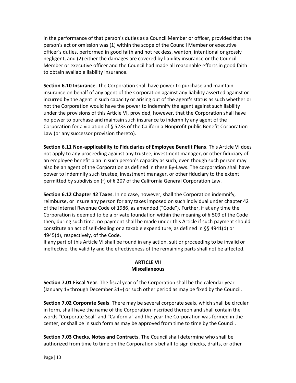in the performance of that person's duties as a Council Member or officer, provided that the person's act or omission was (1) within the scope of the Council Member or executive officer's duties, performed in good faith and not reckless, wanton, intentional or grossly negligent, and (2) either the damages are covered by liability insurance or the Council Member or executive officer and the Council had made all reasonable efforts in good faith to obtain available liability insurance.

**Section 6.10 Insurance**. The Corporation shall have power to purchase and maintain insurance on behalf of any agent of the Corporation against any liability asserted against or incurred by the agent in such capacity or arising out of the agent's status as such whether or not the Corporation would have the power to indemnify the agent against such liability under the provisions of this Article VI, provided, however, that the Corporation shall have no power to purchase and maintain such insurance to indemnify any agent of the Corporation for a violation of § 5233 of the California Nonprofit public Benefit Corporation Law (or any successor provision thereto).

**Section 6.11 Non-applicability to Fiduciaries of Employee Benefit Plans**. This Article VI does not apply to any proceeding against any trustee, investment manager, or other fiduciary of an employee benefit plan in such person's capacity as such, even though such person may also be an agent of the Corporation as defined in these By-Laws. The corporation shall have power to indemnify such trustee, investment manager, or other fiduciary to the extent permitted by subdivision (f) of § 207 of the California General Corporation Law.

**Section 6.12 Chapter 42 Taxes**. In no case, however, shall the Corporation indemnify, reimburse, or insure any person for any taxes imposed on such individual under chapter 42 of the Internal Revenue Code of 1986, as amended ("Code"). Further, if at any time the Corporation is deemed to be a private foundation within the meaning of § 509 of the Code then, during such time, no payment shall be made under this Article if such payment should constitute an act of self-dealing or a taxable expenditure, as defined in §§ 4941(d) or 4945(d), respectively, of the Code.

If any part of this Article VI shall be found in any action, suit or proceeding to be invalid or ineffective, the validity and the effectiveness of the remaining parts shall not be affected.

# **ARTICLE VII Miscellaneous**

**Section 7.01 Fiscal Year**. The fiscal year of the Corporation shall be the calendar year (January 1st through December  $31st$ ) or such other period as may be fixed by the Council.

**Section 7.02 Corporate Seals**. There may be several corporate seals, which shall be circular in form, shall have the name of the Corporation inscribed thereon and shall contain the words "Corporate Seal" and "California" and the year the Corporation was formed in the center; or shall be in such form as may be approved from time to time by the Council.

**Section 7.03 Checks, Notes and Contracts**. The Council shall determine who shall be authorized from time to time on the Corporation's behalf to sign checks, drafts, or other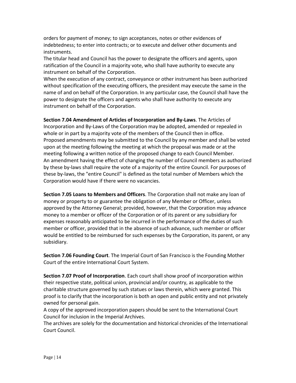orders for payment of money; to sign acceptances, notes or other evidences of indebtedness; to enter into contracts; or to execute and deliver other documents and instruments.

The titular head and Council has the power to designate the officers and agents, upon ratification of the Council in a majority vote, who shall have authority to execute any instrument on behalf of the Corporation.

When the execution of any contract, conveyance or other instrument has been authorized without specification of the executing officers, the president may execute the same in the name of and on behalf of the Corporation. In any particular case, the Council shall have the power to designate the officers and agents who shall have authority to execute any instrument on behalf of the Corporation.

**Section 7.04 Amendment of Articles of Incorporation and By-Laws**. The Articles of Incorporation and By-Laws of the Corporation may be adopted, amended or repealed in whole or in part by a majority vote of the members of the Council then in office. Proposed amendments may be submitted to the Council by any member and shall be voted upon at the meeting following the meeting at which the proposal was made or at the meeting following a written notice of the proposed change to each Council Member. An amendment having the effect of changing the number of Council members as authorized by these by-laws shall require the vote of a majority of the entire Council. For purposes of these by-laws, the "entire Council" is defined as the total number of Members which the Corporation would have if there were no vacancies.

**Section 7.05 Loans to Members and Officers**. The Corporation shall not make any loan of money or property to or guarantee the obligation of any Member or Officer, unless approved by the Attorney General; provided, however, that the Corporation may advance money to a member or officer of the Corporation or of its parent or any subsidiary for expenses reasonably anticipated to be incurred in the performance of the duties of such member or officer, provided that in the absence of such advance, such member or officer would be entitled to be reimbursed for such expenses by the Corporation, its parent, or any subsidiary.

**Section 7.06 Founding Court**. The Imperial Court of San Francisco is the Founding Mother Court of the entire International Court System.

**Section 7.07 Proof of Incorporation**. Each court shall show proof of incorporation within their respective state, political union, provincial and/or country, as applicable to the charitable structure governed by such statues or laws therein, which were granted. This proof is to clarify that the incorporation is both an open and public entity and not privately owned for personal gain.

A copy of the approved incorporation papers should be sent to the International Court Council for inclusion in the Imperial Archives.

The archives are solely for the documentation and historical chronicles of the International Court Council.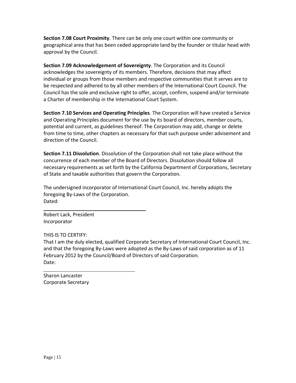**Section 7.08 Court Proximity**. There can be only one court within one community or geographical area that has been ceded appropriate land by the founder or titular head with approval by the Council.

**Section 7.09 Acknowledgement of Sovereignty**. The Corporation and its Council acknowledges the sovereignty of its members. Therefore, decisions that may affect individual or groups from those members and respective communities that it serves are to be respected and adhered to by all other members of the International Court Council. The Council has the sole and exclusive right to offer, accept, confirm, suspend and/or terminate a Charter of membership in the International Court System.

**Section 7.10 Services and Operating Principles**. The Corporation will have created a Service and Operating Principles document for the use by its board of directors, member courts, potential and current, as guidelines thereof. The Corporation may add, change or delete from time to time, other chapters as necessary for that such purpose under advisement and direction of the Council.

**Section 7.11 Dissolution**. Dissolution of the Corporation shall not take place without the concurrence of each member of the Board of Directors. Dissolution should follow all necessary requirements as set forth by the California Department of Corporations, Secretary of State and taxable authorities that govern the Corporation.

The undersigned incorporator of International Court Council, Inc. hereby adopts the foregoing By-Laws of the Corporation. Dated:

Robert Lack, President Incorporator

THIS IS TO CERTIFY:

That I am the duly elected, qualified Corporate Secretary of International Court Council, Inc. and that the foregoing By-Laws were adopted as the By-Laws of said corporation as of 11 February 2012 by the Council/Board of Directors of said Corporation. Date:

Sharon Lancaster Corporate Secretary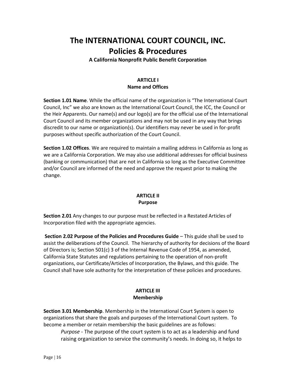# **The INTERNATIONAL COURT COUNCIL, INC. Policies & Procedures**

**A California Nonprofit Public Benefit Corporation**

# **ARTICLE I Name and Offices**

**Section 1.01 Name**. While the official name of the organization is "The International Court Council, Inc" we also are known as the International Court Council, the ICC, the Council or the Heir Apparents. Our name(s) and our logo(s) are for the official use of the International Court Council and its member organizations and may not be used in any way that brings discredit to our name or organization(s). Our identifiers may never be used in for-profit purposes without specific authorization of the Court Council.

**Section 1.02 Offices**. We are required to maintain a mailing address in California as long as we are a California Corporation. We may also use additional addresses for official business (banking or communication) that are not in California so long as the Executive Committee and/or Council are informed of the need and approve the request prior to making the change.

#### **ARTICLE II Purpose**

**Section 2.01** Any changes to our purpose must be reflected in a Restated Articles of Incorporation filed with the appropriate agencies.

**Section 2.02 Purpose of the Policies and Procedures Guide** – This guide shall be used to assist the deliberations of the Council. The hierarchy of authority for decisions of the Board of Directors is; Section 501(c) 3 of the Internal Revenue Code of 1954, as amended, California State Statutes and regulations pertaining to the operation of non-profit organizations, our Certificate/Articles of Incorporation, the Bylaws, and this guide. The Council shall have sole authority for the interpretation of these policies and procedures.

# **ARTICLE III Membership**

**Section 3.01 Membership**. Membership in the International Court System is open to organizations that share the goals and purposes of the International Court system. To become a member or retain membership the basic guidelines are as follows:

*Purpose* - The purpose of the court system is to act as a leadership and fund raising organization to service the community's needs. In doing so, it helps to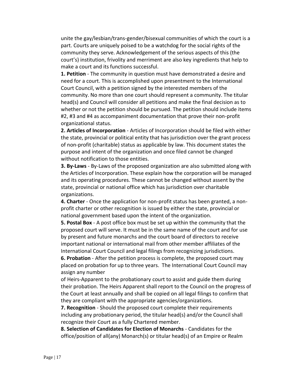unite the gay/lesbian/trans-gender/bisexual communities of which the court is a part. Courts are uniquely poised to be a watchdog for the social rights of the community they serve. Acknowledgement of the serious aspects of this (the court's) institution, frivolity and merriment are also key ingredients that help to make a court and its functions successful.

**1. Petition** - The community in question must have demonstrated a desire and need for a court. This is accomplished upon presentment to the International Court Council, with a petition signed by the interested members of the community. No more than one court should represent a community. The titular head(s) and Council will consider all petitions and make the final decision as to whether or not the petition should be pursued. The petition should include items #2, #3 and #4 as accompaniment documentation that prove their non-profit organizational status.

**2. Articles of Incorporation** - Articles of Incorporation should be filed with either the state, provincial or political entity that has jurisdiction over the grant process of non-profit (charitable) status as applicable by law. This document states the purpose and intent of the organization and once filed cannot be changed without notification to those entities.

**3. By-Laws** - By-Laws of the proposed organization are also submitted along with the Articles of Incorporation. These explain how the corporation will be managed and its operating procedures. These cannot be changed without assent by the state, provincial or national office which has jurisdiction over charitable organizations.

**4. Charter** - Once the application for non-profit status has been granted, a nonprofit charter or other recognition is issued by either the state, provincial or national government based upon the intent of the organization.

**5. Postal Box** - A post office box must be set up within the community that the proposed court will serve. It must be in the same name of the court and for use by present and future monarchs and the court board of directors to receive important national or international mail from other member affiliates of the International Court Council and legal filings from recognizing jurisdictions.

**6. Probation** - After the petition process is complete, the proposed court may placed on probation for up to three years. The International Court Council may assign any number

of Heirs-Apparent to the probationary court to assist and guide them during their probation. The Heirs Apparent shall report to the Council on the progress of the Court at least annually and shall be copied on all legal filings to confirm that they are compliant with the appropriate agencies/organizations.

**7. Recognition** - Should the proposed court complete their requirements including any probationary period, the titular head(s) and/or the Council shall recognize their Court as a fully Chartered member.

**8. Selection of Candidates for Election of Monarchs** - Candidates for the office/position of all(any) Monarch(s) or titular head(s) of an Empire or Realm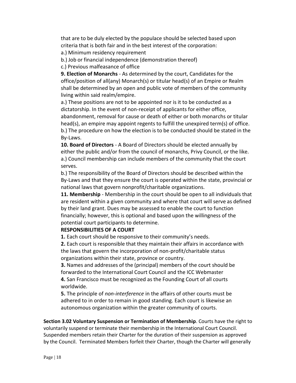that are to be duly elected by the populace should be selected based upon criteria that is both fair and in the best interest of the corporation:

a.) Minimum residency requirement

b.) Job or financial independence (demonstration thereof)

c.) Previous malfeasance of office

**9. Election of Monarchs** - As determined by the court, Candidates for the office/position of all(any) Monarch(s) or titular head(s) of an Empire or Realm shall be determined by an open and public vote of members of the community living within said realm/empire.

a.) These positions are not to be appointed nor is it to be conducted as a dictatorship. In the event of non-receipt of applicants for either office, abandonment, removal for cause or death of either or both monarchs or titular head(s), an empire may appoint regents to fulfill the unexpired term(s) of office. b.) The procedure on how the election is to be conducted should be stated in the By-Laws.

**10. Board of Directors** - A Board of Directors should be elected annually by either the public and/or from the council of monarchs, Privy Council, or the like. a.) Council membership can include members of the community that the court serves.

b.) The responsibility of the Board of Directors should be described within the By-Laws and that they ensure the court is operated within the state, provincial or national laws that govern nonprofit/charitable organizations.

**11. Membership** - Membership in the court should be open to all individuals that are resident within a given community and where that court will serve as defined by their land grant. Dues may be assessed to enable the court to function financially; however, this is optional and based upon the willingness of the potential court participants to determine.

# **RESPONSIBILITIES OF A COURT**

**1.** Each court should be responsive to their community's needs.

**2.** Each court is responsible that they maintain their affairs in accordance with the laws that govern the incorporation of non-profit/charitable status organizations within their state, province or country.

**3.** Names and addresses of the (principal) members of the court should be forwarded to the International Court Council and the ICC Webmaster **4.** San Francisco must be recognized as the Founding Court of all courts worldwide.

**5.** The principle of *non-interference* in the affairs of other courts must be adhered to in order to remain in good standing. Each court is likewise an autonomous organization within the greater community of courts.

**Section 3.02 Voluntary Suspension or Termination of Membership**. Courts have the right to voluntarily suspend or terminate their membership in the International Court Council. Suspended members retain their Charter for the duration of their suspension as approved by the Council. Terminated Members forfeit their Charter, though the Charter will generally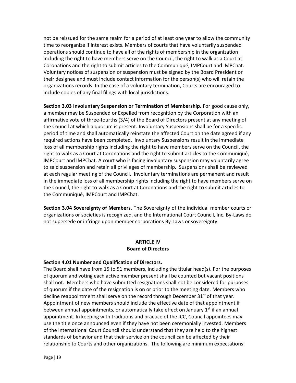not be reissued for the same realm for a period of at least one year to allow the community time to reorganize if interest exists. Members of courts that have voluntarily suspended operations should continue to have all of the rights of membership in the organization including the right to have members serve on the Council, the right to walk as a Court at Coronations and the right to submit articles to the Communiqué, IMPCourt and IMPChat. Voluntary notices of suspension or suspension must be signed by the Board President or their designee and must include contact information for the person(s) who will retain the organizations records. In the case of a voluntary termination, Courts are encouraged to include copies of any final filings with local jurisdictions.

**Section 3.03 Involuntary Suspension or Termination of Membership.** For good cause only, a member may be Suspended or Expelled from recognition by the Corporation with an affirmative vote of three-fourths (3/4) of the Board of Directors present at any meeting of the Council at which a quorum is present. Involuntary Suspensions shall be for a specific period of time and shall automatically reinstate the affected Court on the date agreed if any required actions have been completed. Involuntary Suspensions result in the immediate loss of all membership rights including the right to have members serve on the Council, the right to walk as a Court at Coronations and the right to submit articles to the Communiqué, IMPCourt and IMPChat. A court who is facing involuntary suspension may voluntarily agree to said suspension and retain all privileges of membership. Suspensions shall be reviewed at each regular meeting of the Council. Involuntary terminations are permanent and result in the immediate loss of all membership rights including the right to have members serve on the Council, the right to walk as a Court at Coronations and the right to submit articles to the Communiqué, IMPCourt and IMPChat.

**Section 3.04 Sovereignty of Members.** The Sovereignty of the individual member courts or organizations or societies is recognized, and the International Court Council, Inc. By-Laws do not supersede or infringe upon member corporations By-Laws or sovereignty.

# **ARTICLE IV Board of Directors**

#### **Section 4.01 Number and Qualification of Directors.**

The Board shall have from 15 to 51 members, including the titular head(s). For the purposes of quorum and voting each active member present shall be counted but vacant positions shall not. Members who have submitted resignations shall not be considered for purposes of quorum if the date of the resignation is on or prior to the meeting date. Members who decline reappointment shall serve on the record through December  $31<sup>st</sup>$  of that year. Appointment of new members should include the effective date of that appointment if between annual appointments, or automatically take effect on January  $1<sup>st</sup>$  if an annual appointment. In keeping with traditions and practice of the ICC, Council appointees may use the title once announced even if they have not been ceremonially invested. Members of the International Court Council should understand that they are held to the highest standards of behavior and that their service on the council can be affected by their relationship to Courts and other organizations. The following are minimum expectations: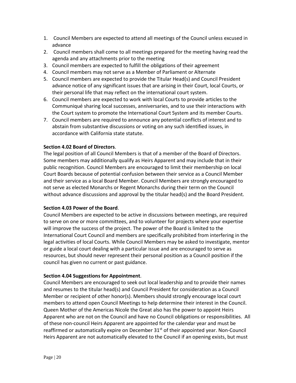- 1. Council Members are expected to attend all meetings of the Council unless excused in advance
- 2. Council members shall come to all meetings prepared for the meeting having read the agenda and any attachments prior to the meeting
- 3. Council members are expected to fulfill the obligations of their agreement
- 4. Council members may not serve as a Member of Parliament or Alternate
- 5. Council members are expected to provide the Titular Head(s) and Council President advance notice of any significant issues that are arising in their Court, local Courts, or their personal life that may reflect on the international court system.
- 6. Council members are expected to work with local Courts to provide articles to the Communiqué sharing local successes, anniversaries, and to use their interactions with the Court system to promote the International Court System and its member Courts.
- 7. Council members are required to announce any potential conflicts of interest and to abstain from substantive discussions or voting on any such identified issues, in accordance with California state statute.

#### **Section 4.02 Board of Directors**.

The legal position of all Council Members is that of a member of the Board of Directors. Some members may additionally qualify as Heirs Apparent and may include that in their public recognition. Council Members are encouraged to limit their membership on local Court Boards because of potential confusion between their service as a Council Member and their service as a local Board Member. Council Members are strongly encouraged to not serve as elected Monarchs or Regent Monarchs during their term on the Council without advance discussions and approval by the titular head(s) and the Board President.

#### **Section 4.03 Power of the Board**.

Council Members are expected to be active in discussions between meetings, are required to serve on one or more committees, and to volunteer for projects where your expertise will improve the success of the project. The power of the Board is limited to the International Court Council and members are specifically prohibited from interfering in the legal activities of local Courts. While Council Members may be asked to investigate, mentor or guide a local court dealing with a particular issue and are encouraged to serve as resources, but should never represent their personal position as a Council position if the council has given no current or past guidance.

#### **Section 4.04 Suggestionsfor Appointment**.

Council Members are encouraged to seek out local leadership and to provide their names and resumes to the titular head(s) and Council President for consideration as a Council Member or recipient of other honor(s). Members should strongly encourage local court members to attend open Council Meetings to help determine their interest in the Council. Queen Mother of the Americas Nicole the Great also has the power to appoint Heirs Apparent who are not on the Council and have no Council obligations or responsibilities. All of these non-council Heirs Apparent are appointed for the calendar year and must be reaffirmed or automatically expire on December 31<sup>st</sup> of their appointed year. Non-Council Heirs Apparent are not automatically elevated to the Council if an opening exists, but must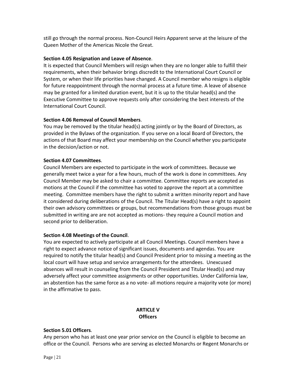still go through the normal process. Non-Council Heirs Apparent serve at the leisure of the Queen Mother of the Americas Nicole the Great.

### **Section 4.05 Resignation and Leave of Absence**.

It is expected that Council Members will resign when they are no longer able to fulfill their requirements, when their behavior brings discredit to the International Court Council or System, or when their life priorities have changed. A Council member who resigns is eligible for future reappointment through the normal process at a future time. A leave of absence may be granted for a limited duration event, but it is up to the titular head(s) and the Executive Committee to approve requests only after considering the best interests of the International Court Council.

# **Section 4.06 Removal of Council Members**.

You may be removed by the titular head(s) acting jointly or by the Board of Directors, as provided in the Bylaws of the organization. If you serve on a local Board of Directors, the actions of that Board may affect your membership on the Council whether you participate in the decision/action or not.

#### **Section 4.07 Committees**.

Council Members are expected to participate in the work of committees. Because we generally meet twice a year for a few hours, much of the work is done in committees. Any Council Member may be asked to chair a committee. Committee reports are accepted as motions at the Council if the committee has voted to approve the report at a committee meeting. Committee members have the right to submit a written minority report and have it considered during deliberations of the Council. The Titular Head(s) have a right to appoint their own advisory committees or groups, but recommendations from those groups must be submitted in writing are are not accepted as motions- they require a Council motion and second prior to deliberation.

# **Section 4.08 Meetings of the Council**.

You are expected to actively participate at all Council Meetings. Council members have a right to expect advance notice of significant issues, documents and agendas. You are required to notify the titular head(s) and Council President prior to missing a meeting as the local court will have setup and service arrangements for the attendees. Unexcused absences will result in counseling from the Council President and Titular Head(s) and may adversely affect your committee assignments or other opportunities. Under California law, an abstention has the same force as a no vote- all motions require a majority vote (or more) in the affirmative to pass.

# **ARTICLE V Officers**

#### **Section 5.01 Officers**.

Any person who has at least one year prior service on the Council is eligible to become an office or the Council. Persons who are serving as elected Monarchs or Regent Monarchs or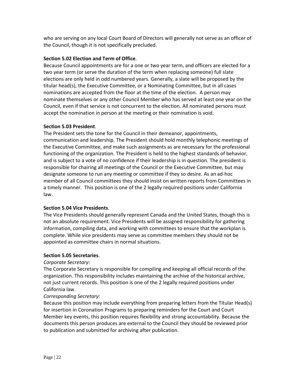who are serving on any local Court Board of Directors will generally not serve as an officer of the Council, though it is not specifically precluded.

# **Section 5.02 Election and Term of Office**.

Because Council appointments are for a one or two year term, and officers are elected for a two year term (or serve the duration of the term when replacing someone) full slate elections are only held in odd numbered years. Generally, a slate will be proposed by the titular head(s), the Executive Committee, or a Nominating Committee, but in all cases nominations are accepted from the floor at the time of the election. A person may nominate themselves or any other Council Member who has served at least one year on the Council, even if that service is not concurrent to the election. All nominated persons must accept the nomination in person at the meeting or their nomination is void.

#### **Section 5.03 President**.

The President sets the tone for the Council in their demeanor, appointments, communication and leadership. The President should hold monthly telephonic meetings of the Executive Committee, and make such assignments as are necessary for the professional functioning of the organization. The President is held to the highest standards of behavior, and is subject to a vote of no confidence if their leadership is in question. The president is responsible for chairing all meetings of the Council or the Executive Committee, but may designate someone to run any meeting or committee if they so desire. As an ad-hoc member of all Council committees they should insist on written reports from Committees in a timely manner. This position is one of the 2 legally required positions under California law.

#### **Section 5.04 Vice Presidents**.

The Vice Presidents should generally represent Canada and the United States, though this is not an absolute requirement. Vice Presidents will be assigned responsibility for gathering information, compiling data, and working with committees to ensure that the workplan is complete. While vice presidents may serve as committee members they should not be appointed as committee chairs in normal situations.

#### **Section 5.05 Secretaries**.

#### *Corporate Secretary*:

The Corporate Secretary is responsible for compiling and keeping all official records of the organization. This responsibility includes maintaining the archive of the historical archive, not just current records. This position is one of the 2 legally required positions under California law.

#### *Corresponding Secretary*:

Because this position may include everything from preparing letters from the Titular Head(s) for insertion in Coronation Programs to preparing reminders for the Court and Court Member key events, this position requires flexibility and strong accountability. Because the documents this person produces are external to the Council they should be reviewed prior to publication and submitted for archiving after publication.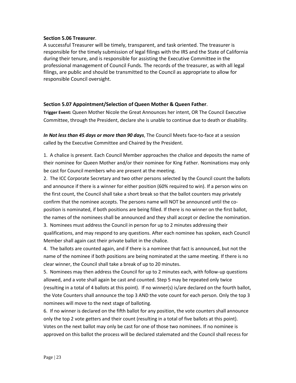#### **Section 5.06 Treasurer**.

A successful Treasurer will be timely, transparent, and task oriented. The treasurer is responsible for the timely submission of legal filings with the IRS and the State of California during their tenure, and is responsible for assisting the Executive Committee in the professional management of Council Funds. The records of the treasurer, as with all legal filings, are public and should be transmitted to the Council as appropriate to allow for responsible Council oversight.

#### **Section 5.07 Appointment/Selection of Queen Mother & Queen Father**.

**Trigger Event:** Queen Mother Nicole the Great Announces her intent, OR The Council Executive Committee, through the President, declare she is unable to continue due to death or disability.

*In Not less than 45 days or more than 90 days*, The Council Meets face-to-face at a session called by the Executive Committee and Chaired by the President.

1. A chalice is present. Each Council Member approaches the chalice and deposits the name of their nominee for Queen Mother and/or their nominee for King Father. Nominations may only be cast for Council members who are present at the meeting.

2. The ICC Corporate Secretary and two other persons selected by the Council count the ballots and announce if there is a winner for either position (60% required to win). If a person wins on the first count, the Council shall take a short break so that the ballot counters may privately confirm that the nominee accepts. The persons name will NOT be announced until the coposition is nominated, if both positions are being filled. If there is no winner on the first ballot, the names of the nominees shall be announced and they shall accept or decline the nomination.

3. Nominees must address the Council in person for up to 2 minutes addressing their qualifications, and may respond to any questions. After each nominee has spoken, each Council Member shall again cast their private ballot in the chalice.

4. The ballots are counted again, and if there is a nominee that fact is announced, but not the name of the nominee if both positions are being nominated at the same meeting. If there is no clear winner, the Council shall take a break of up to 20 minutes.

5. Nominees may then address the Council for up to 2 minutes each, with follow-up questions allowed, and a vote shall again be cast and counted. Step 5 may be repeated only twice (resulting in a total of 4 ballots at this point). If no winner(s) is/are declared on the fourth ballot, the Vote Counters shall announce the top 3 AND the vote count for each person. Only the top 3 nominees will move to the next stage of balloting.

6. If no winner is declared on the fifth ballot for any position, the vote counters shall announce only the top 2 vote getters and their count (resulting in a total of five ballots at this point). Votes on the next ballot may only be cast for one of those two nominees. If no nominee is approved on this ballot the process will be declared stalemated and the Council shall recess for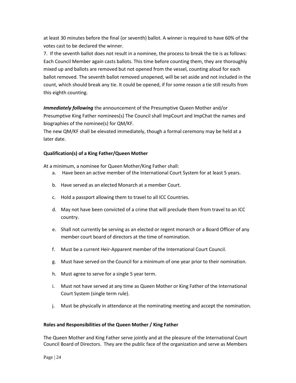at least 30 minutes before the final (or seventh) ballot. A winner is required to have 60% of the votes cast to be declared the winner.

7. If the seventh ballot does not result in a nominee, the process to break the tie is as follows: Each Council Member again casts ballots. This time before counting them, they are thoroughly mixed up and ballots are removed but not opened from the vessel, counting aloud for each ballot removed. The seventh ballot removed unopened, will be set aside and not included in the count, which should break any tie. It could be opened, if for some reason a tie still results from this eighth counting.

*Immediately following* the announcement of the Presumptive Queen Mother and/or Presumptive King Father nominees(s) The Council shall ImpCourt and ImpChat the names and biographies of the nominee(s) for QM/KF.

The new QM/KF shall be elevated immediately, though a formal ceremony may be held at a later date.

#### **Qualification(s) of a King Father/Queen Mother**

At a minimum, a nominee for Queen Mother/King Father shall:

- a. Have been an active member of the International Court System for at least 5 years.
- b. Have served as an elected Monarch at a member Court.
- c. Hold a passport allowing them to travel to all ICC Countries.
- d. May not have been convicted of a crime that will preclude them from travel to an ICC country.
- e. Shall not currently be serving as an elected or regent monarch or a Board Officer of any member court board of directors at the time of nomination.
- f. Must be a current Heir-Apparent member of the International Court Council.
- g. Must have served on the Council for a minimum of one year prior to their nomination.
- h. Must agree to serve for a single 5 year term.
- i. Must not have served at any time as Queen Mother or King Father of the International Court System (single term rule).
- j. Must be physically in attendance at the nominating meeting and accept the nomination.

#### **Roles and Responsibilities of the Queen Mother / King Father**

The Queen Mother and King Father serve jointly and at the pleasure of the International Court Council Board of Directors. They are the public face of the organization and serve as Members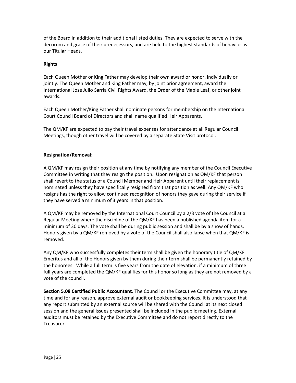of the Board in addition to their additional listed duties. They are expected to serve with the decorum and grace of their predecessors, and are held to the highest standards of behavior as our Titular Heads.

#### **Rights**:

Each Queen Mother or King Father may develop their own award or honor, individually or jointly. The Queen Mother and King Father may, by joint prior agreement, award the International Jose Julio Sarria Civil Rights Award, the Order of the Maple Leaf, or other joint awards.

Each Queen Mother/King Father shall nominate persons for membership on the International Court Council Board of Directors and shall name qualified Heir Apparents.

The QM/KF are expected to pay their travel expenses for attendance at all Regular Council Meetings, though other travel will be covered by a separate State Visit protocol.

#### **Resignation/Removal**:

A QM/KF may resign their position at any time by notifying any member of the Council Executive Committee in writing that they resign the position. Upon resignation as QM/KF that person shall revert to the status of a Council Member and Heir Apparent until their replacement is nominated unless they have specifically resigned from that position as well. Any QM/KF who resigns has the right to allow continued recognition of honors they gave during their service if they have served a minimum of 3 years in that position.

A QM/KF may be removed by the International Court Council by a 2/3 vote of the Council at a Regular Meeting where the discipline of the QM/KF has been a published agenda item for a minimum of 30 days. The vote shall be during public session and shall be by a show of hands. Honors given by a QM/KF removed by a vote of the Council shall also lapse when that QM/KF is removed.

Any QM/KF who successfully completes their term shall be given the honorary title of QM/KF Emeritus and all of the Honors given by them during their term shall be permanently retained by the honorees. While a full term is five years from the date of elevation, if a minimum of three full years are completed the QM/KF qualifies for this honor so long as they are not removed by a vote of the council.

**Section 5.08 Certified Public Accountant**. The Council or the Executive Committee may, at any time and for any reason, approve external audit or bookkeeping services. It is understood that any report submitted by an external source will be shared with the Council at its next closed session and the general issues presented shall be included in the public meeting. External auditors must be retained by the Executive Committee and do not report directly to the Treasurer.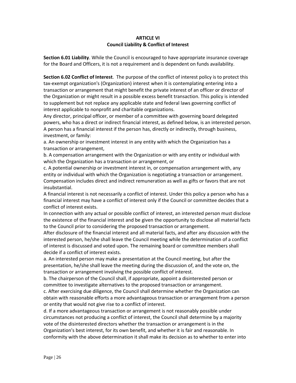#### **ARTICLE VI Council Liability & Conflict of Interest**

**Section 6.01 Liability**. While the Council is encouraged to have appropriate insurance coverage for the Board and Officers, it is not a requirement and is dependent on funds availability.

**Section 6.02 Conflict of Interest**. The purpose of the conflict of interest policy is to protect this tax-exempt organization's (Organization) interest when it is contemplating entering into a transaction or arrangement that might benefit the private interest of an officer or director of the Organization or might result in a possible excess benefit transaction. This policy is intended to supplement but not replace any applicable state and federal laws governing conflict of interest applicable to nonprofit and charitable organizations.

Any director, principal officer, or member of a committee with governing board delegated powers, who has a direct or indirect financial interest, as defined below, is an interested person. A person has a financial interest if the person has, directly or indirectly, through business, investment, or family:

a. An ownership or investment interest in any entity with which the Organization has a transaction or arrangement,

b. A compensation arrangement with the Organization or with any entity or individual with which the Organization has a transaction or arrangement, or

c. A potential ownership or investment interest in, or compensation arrangement with, any entity or individual with which the Organization is negotiating a transaction or arrangement. Compensation includes direct and indirect remuneration as well as gifts or favors that are not insubstantial.

A financial interest is not necessarily a conflict of interest. Under this policy a person who has a financial interest may have a conflict of interest only if the Council or committee decides that a conflict of interest exists.

In connection with any actual or possible conflict of interest, an interested person must disclose the existence of the financial interest and be given the opportunity to disclose all material facts to the Council prior to considering the proposed transaction or arrangement.

After disclosure of the financial interest and all material facts, and after any discussion with the interested person, he/she shall leave the Council meeting while the determination of a conflict of interest is discussed and voted upon. The remaining board or committee members shall decide if a conflict of interest exists.

a. An interested person may make a presentation at the Council meeting, but after the presentation, he/she shall leave the meeting during the discussion of, and the vote on, the transaction or arrangement involving the possible conflict of interest.

b. The chairperson of the Council shall, if appropriate, appoint a disinterested person or committee to investigate alternatives to the proposed transaction or arrangement.

c. After exercising due diligence, the Council shall determine whether the Organization can obtain with reasonable efforts a more advantageous transaction or arrangement from a person or entity that would not give rise to a conflict of interest.

d. If a more advantageous transaction or arrangement is not reasonably possible under circumstances not producing a conflict of interest, the Council shall determine by a majority vote of the disinterested directors whether the transaction or arrangement is in the Organization's best interest, for its own benefit, and whether it is fair and reasonable. In conformity with the above determination it shall make its decision as to whether to enter into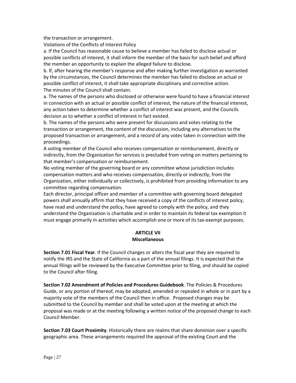the transaction or arrangement.

Violations of the Conflicts of Interest Policy

a. If the Council has reasonable cause to believe a member has failed to disclose actual or possible conflicts of interest, it shall inform the member of the basis for such belief and afford the member an opportunity to explain the alleged failure to disclose.

b. If, after hearing the member's response and after making further investigation as warranted by the circumstances, the Council determines the member has failed to disclose an actual or possible conflict of interest, it shall take appropriate disciplinary and corrective action. The minutes of the Council shall contain:

a. The names of the persons who disclosed or otherwise were found to have a financial interest in connection with an actual or possible conflict of interest, the nature of the financial interest, any action taken to determine whether a conflict of interest was present, and the Councils decision as to whether a conflict of interest in fact existed.

b. The names of the persons who were present for discussions and votes relating to the transaction or arrangement, the content of the discussion, including any alternatives to the proposed transaction or arrangement, and a record of any votes taken in connection with the proceedings.

A voting member of the Council who receives compensation or reimbursement, directly or indirectly, from the Organization for services is precluded from voting on matters pertaining to that member's compensation or reimbursement.

No voting member of the governing board or any committee whose jurisdiction includes compensation matters and who receives compensation, directly or indirectly, from the Organization, either individually or collectively, is prohibited from providing information to any committee regarding compensation.

Each director, principal officer and member of a committee with governing board delegated powers shall annually affirm that they have received a copy of the conflicts of interest policy, have read and understand the policy, have agreed to comply with the policy, and they understand the Organization is charitable and in order to maintain its federal tax exemption it must engage primarily in activities which accomplish one or more of its tax-exempt purposes.

#### **ARTICLE VII Miscellaneous**

**Section 7.01 Fiscal Year**. If the Council changes or alters the fiscal year they are required to notify the IRS and the State of California as a part of the annual filings. It is expected that the annual filings will be reviewed by the Executive Committee prior to filing, and should be copied to the Council after filing.

**Section 7.02 Amendment of Policies and Procedures Guidebook**. The Policies & Procedures Guide, or any portion of thereof, may be adopted, amended or repealed in whole or in part by a majority vote of the members of the Council then in office. Proposed changes may be submitted to the Council by member and shall be voted upon at the meeting at which the proposal was made or at the meeting following a written notice of the proposed change to each Council Member.

**Section 7.03 Court Proximity**. Historically there are realms that share dominion over a specific geographic area. These arrangements required the approval of the existing Court and the